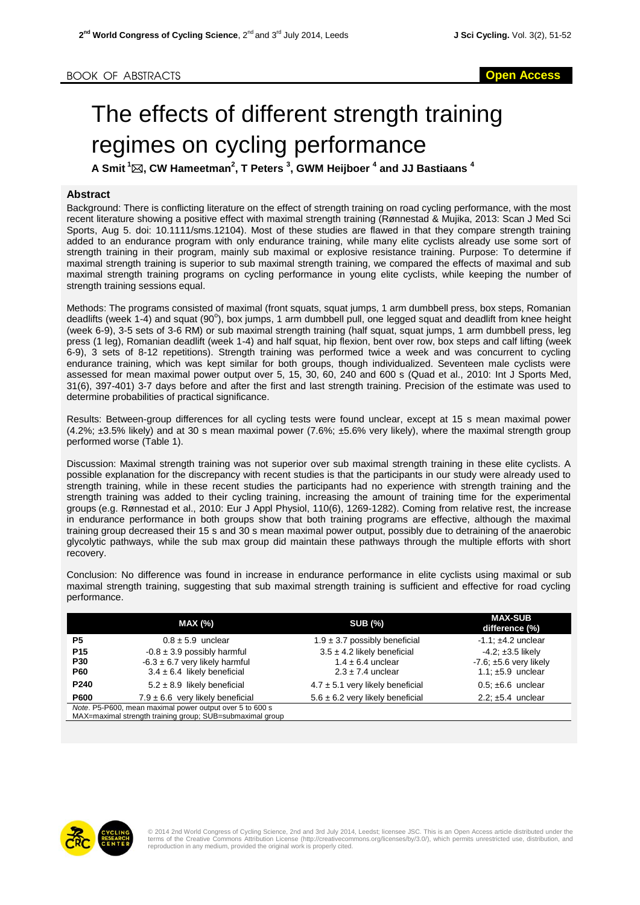## The effects of different strength training regimes on cycling performance

**A Smit <sup>1</sup>, CW Hameetman<sup>2</sup> , T Peters <sup>3</sup> , GWM Heijboer <sup>4</sup> and JJ Bastiaans <sup>4</sup>**

## **Abstract**

Background: There is conflicting literature on the effect of strength training on road cycling performance, with the most recent literature showing a positive effect with maximal strength training (Rønnestad & Mujika, 2013: Scan J Med Sci Sports, Aug 5. doi: 10.1111/sms.12104). Most of these studies are flawed in that they compare strength training added to an endurance program with only endurance training, while many elite cyclists already use some sort of strength training in their program, mainly sub maximal or explosive resistance training. Purpose: To determine if maximal strength training is superior to sub maximal strength training, we compared the effects of maximal and sub maximal strength training programs on cycling performance in young elite cyclists, while keeping the number of strength training sessions equal.

Methods: The programs consisted of maximal (front squats, squat jumps, 1 arm dumbbell press, box steps, Romanian deadlifts (week 1-4) and squat (90°), box jumps, 1 arm dumbbell pull, one legged squat and deadlift from knee height (week 6-9), 3-5 sets of 3-6 RM) or sub maximal strength training (half squat, squat jumps, 1 arm dumbbell press, leg press (1 leg), Romanian deadlift (week 1-4) and half squat, hip flexion, bent over row, box steps and calf lifting (week 6-9), 3 sets of 8-12 repetitions). Strength training was performed twice a week and was concurrent to cycling endurance training, which was kept similar for both groups, though individualized. Seventeen male cyclists were assessed for mean maximal power output over 5, 15, 30, 60, 240 and 600 s (Quad et al., 2010: Int J Sports Med, 31(6), 397-401) 3-7 days before and after the first and last strength training. Precision of the estimate was used to determine probabilities of practical significance.

Results: Between-group differences for all cycling tests were found unclear, except at 15 s mean maximal power (4.2%; ±3.5% likely) and at 30 s mean maximal power (7.6%; ±5.6% very likely), where the maximal strength group performed worse (Table 1).

Discussion: Maximal strength training was not superior over sub maximal strength training in these elite cyclists. A possible explanation for the discrepancy with recent studies is that the participants in our study were already used to strength training, while in these recent studies the participants had no experience with strength training and the strength training was added to their cycling training, increasing the amount of training time for the experimental groups (e.g. Rønnestad et al., 2010: Eur J Appl Physiol, 110(6), 1269-1282). Coming from relative rest, the increase in endurance performance in both groups show that both training programs are effective, although the maximal training group decreased their 15 s and 30 s mean maximal power output, possibly due to detraining of the anaerobic glycolytic pathways, while the sub max group did maintain these pathways through the multiple efforts with short recovery.

Conclusion: No difference was found in increase in endurance performance in elite cyclists using maximal or sub maximal strength training, suggesting that sub maximal strength training is sufficient and effective for road cycling performance.

|                                                                                                                       | <b>MAX (%)</b>                       | <b>SUB (%)</b>                       | <b>MAX-SUB</b><br>difference (%) |
|-----------------------------------------------------------------------------------------------------------------------|--------------------------------------|--------------------------------------|----------------------------------|
| <b>P5</b>                                                                                                             | $0.8 \pm 5.9$ unclear                | $1.9 \pm 3.7$ possibly beneficial    | $-1.1: \pm 4.2$ unclear          |
| P <sub>15</sub>                                                                                                       | $-0.8 \pm 3.9$ possibly harmful      | $3.5 \pm 4.2$ likely beneficial      | $-4.2$ ; $\pm 3.5$ likely        |
| <b>P30</b>                                                                                                            | $-6.3 \pm 6.7$ very likely harmful   | $1.4 \pm 6.4$ unclear                | $-7.6$ ; $\pm 5.6$ very likely   |
| <b>P60</b>                                                                                                            | $3.4 \pm 6.4$ likely beneficial      | $2.3 \pm 7.4$ unclear                | 1.1; $\pm 5.9$ unclear           |
| P <sub>240</sub>                                                                                                      | $5.2 \pm 8.9$ likely beneficial      | $4.7 \pm 5.1$ very likely beneficial | $0.5: \pm 6.6$ unclear           |
| <b>P600</b>                                                                                                           | $7.9 \pm 6.6$ very likely beneficial | $5.6 \pm 6.2$ very likely beneficial | 2.2; $\pm 5.4$ unclear           |
| Note. P5-P600, mean maximal power output over 5 to 600 s<br>MAX=maximal strength training group; SUB=submaximal group |                                      |                                      |                                  |



© 2014 2nd World Congress of Cycling Science, 2nd and 3rd July 2014, Leedst; licensee JSC. This is an Open Access article distributed under the<br>terms of the Creative Commons Attribution License (http://creativecommons.org/ reproduction in any medium, provided the original work is properly cited.